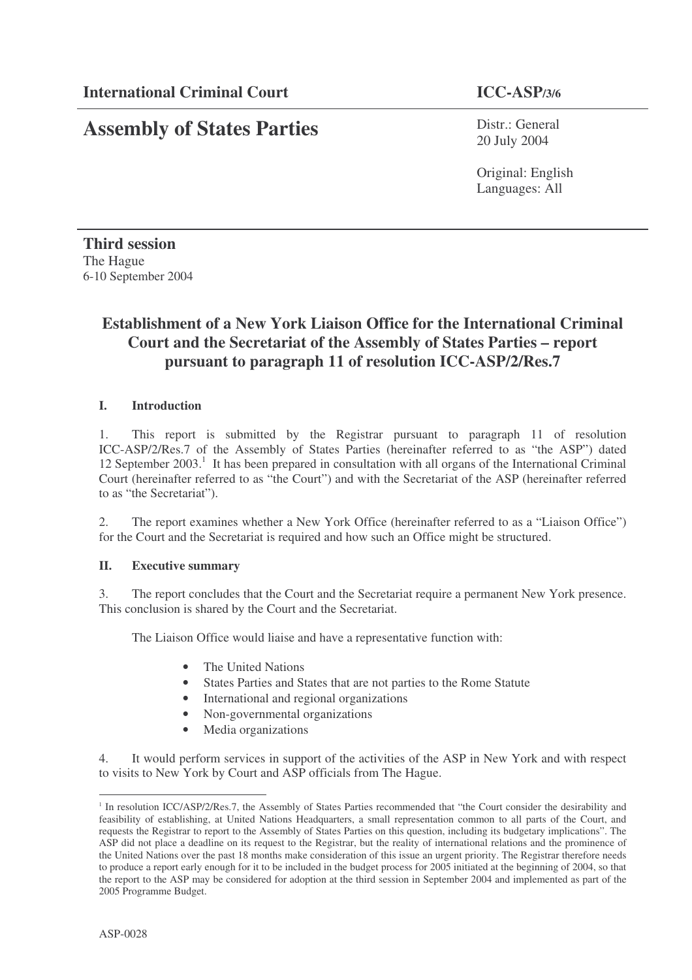# **Assembly of States Parties**

Distr.: General 20 July 2004

Original: English Languages: All

**Third session** The Hague 6-10 September 2004

# **Establishment of a New York Liaison Office for the International Criminal Court and the Secretariat of the Assembly of States Parties – report pursuant to paragraph 11 of resolution ICC-ASP/2/Res.7**

# **I. Introduction**

1. This report is submitted by the Registrar pursuant to paragraph 11 of resolution ICC-ASP/2/Res.7 of the Assembly of States Parties (hereinafter referred to as "the ASP") dated 12 September 2003.<sup>1</sup> It has been prepared in consultation with all organs of the International Criminal Court (hereinafter referred to as "the Court") and with the Secretariat of the ASP (hereinafter referred to as "the Secretariat").

2. The report examines whether a New York Office (hereinafter referred to as a "Liaison Office") for the Court and the Secretariat is required and how such an Office might be structured.

#### **II. Executive summary**

3. The report concludes that the Court and the Secretariat require a permanent New York presence. This conclusion is shared by the Court and the Secretariat.

The Liaison Office would liaise and have a representative function with:

- The United Nations
- States Parties and States that are not parties to the Rome Statute
- International and regional organizations
- Non-governmental organizations
- Media organizations

4. It would perform services in support of the activities of the ASP in New York and with respect to visits to New York by Court and ASP officials from The Hague.

<sup>&</sup>lt;sup>1</sup> In resolution ICC/ASP/2/Res.7, the Assembly of States Parties recommended that "the Court consider the desirability and feasibility of establishing, at United Nations Headquarters, a small representation common to all parts of the Court, and requests the Registrar to report to the Assembly of States Parties on this question, including its budgetary implications". The ASP did not place a deadline on its request to the Registrar, but the reality of international relations and the prominence of the United Nations over the past 18 months make consideration of this issue an urgent priority. The Registrar therefore needs to produce a report early enough for it to be included in the budget process for 2005 initiated at the beginning of 2004, so that the report to the ASP may be considered for adoption at the third session in September 2004 and implemented as part of the 2005 Programme Budget.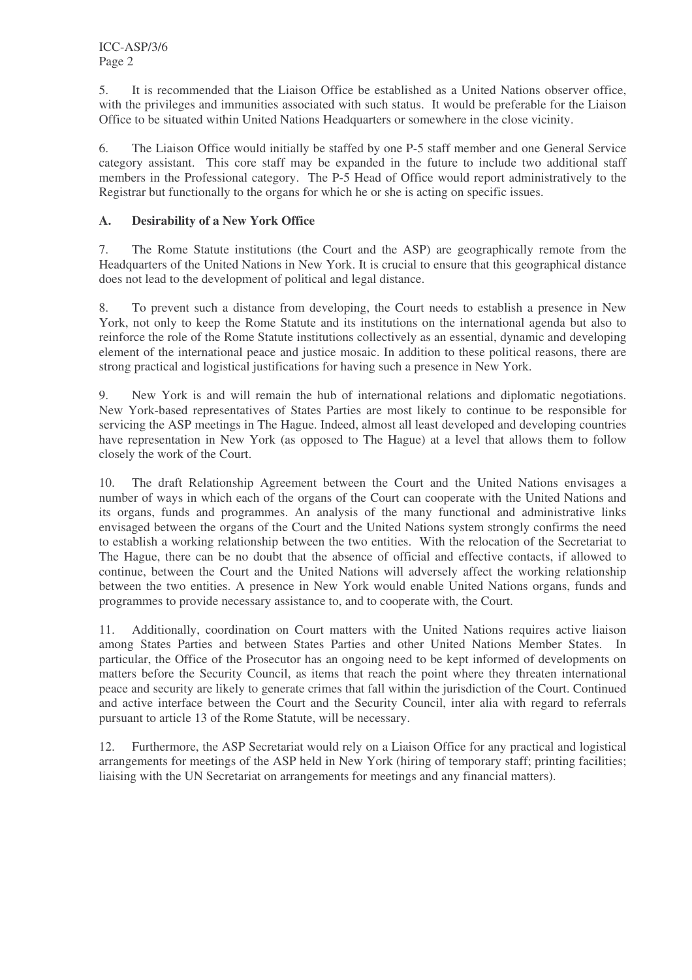5. It is recommended that the Liaison Office be established as a United Nations observer office, with the privileges and immunities associated with such status. It would be preferable for the Liaison Office to be situated within United Nations Headquarters or somewhere in the close vicinity.

6. The Liaison Office would initially be staffed by one P-5 staff member and one General Service category assistant. This core staff may be expanded in the future to include two additional staff members in the Professional category. The P-5 Head of Office would report administratively to the Registrar but functionally to the organs for which he or she is acting on specific issues.

# **A. Desirability of a New York Office**

7. The Rome Statute institutions (the Court and the ASP) are geographically remote from the Headquarters of the United Nations in New York. It is crucial to ensure that this geographical distance does not lead to the development of political and legal distance.

8. To prevent such a distance from developing, the Court needs to establish a presence in New York, not only to keep the Rome Statute and its institutions on the international agenda but also to reinforce the role of the Rome Statute institutions collectively as an essential, dynamic and developing element of the international peace and justice mosaic. In addition to these political reasons, there are strong practical and logistical justifications for having such a presence in New York.

9. New York is and will remain the hub of international relations and diplomatic negotiations. New York-based representatives of States Parties are most likely to continue to be responsible for servicing the ASP meetings in The Hague. Indeed, almost all least developed and developing countries have representation in New York (as opposed to The Hague) at a level that allows them to follow closely the work of the Court.

10. The draft Relationship Agreement between the Court and the United Nations envisages a number of ways in which each of the organs of the Court can cooperate with the United Nations and its organs, funds and programmes. An analysis of the many functional and administrative links envisaged between the organs of the Court and the United Nations system strongly confirms the need to establish a working relationship between the two entities. With the relocation of the Secretariat to The Hague, there can be no doubt that the absence of official and effective contacts, if allowed to continue, between the Court and the United Nations will adversely affect the working relationship between the two entities. A presence in New York would enable United Nations organs, funds and programmes to provide necessary assistance to, and to cooperate with, the Court.

11. Additionally, coordination on Court matters with the United Nations requires active liaison among States Parties and between States Parties and other United Nations Member States. In particular, the Office of the Prosecutor has an ongoing need to be kept informed of developments on matters before the Security Council, as items that reach the point where they threaten international peace and security are likely to generate crimes that fall within the jurisdiction of the Court. Continued and active interface between the Court and the Security Council, inter alia with regard to referrals pursuant to article 13 of the Rome Statute, will be necessary.

12. Furthermore, the ASP Secretariat would rely on a Liaison Office for any practical and logistical arrangements for meetings of the ASP held in New York (hiring of temporary staff; printing facilities; liaising with the UN Secretariat on arrangements for meetings and any financial matters).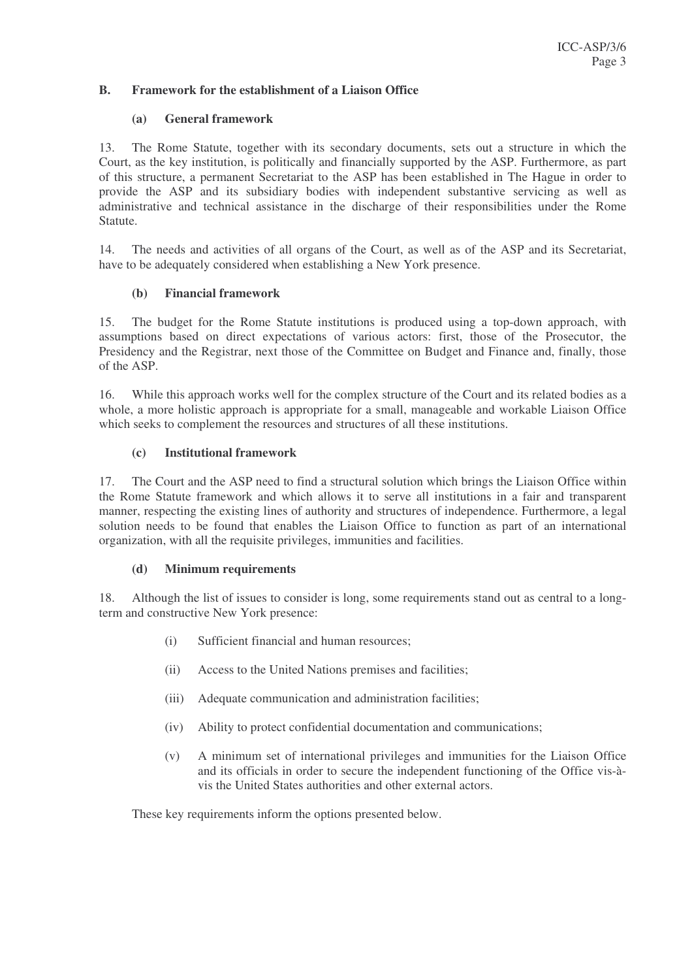## **B. Framework for the establishment of a Liaison Office**

#### **(a) General framework**

13. The Rome Statute, together with its secondary documents, sets out a structure in which the Court, as the key institution, is politically and financially supported by the ASP. Furthermore, as part of this structure, a permanent Secretariat to the ASP has been established in The Hague in order to provide the ASP and its subsidiary bodies with independent substantive servicing as well as administrative and technical assistance in the discharge of their responsibilities under the Rome Statute.

14. The needs and activities of all organs of the Court, as well as of the ASP and its Secretariat, have to be adequately considered when establishing a New York presence.

#### **(b) Financial framework**

15. The budget for the Rome Statute institutions is produced using a top-down approach, with assumptions based on direct expectations of various actors: first, those of the Prosecutor, the Presidency and the Registrar, next those of the Committee on Budget and Finance and, finally, those of the ASP.

16. While this approach works well for the complex structure of the Court and its related bodies as a whole, a more holistic approach is appropriate for a small, manageable and workable Liaison Office which seeks to complement the resources and structures of all these institutions.

#### **(c) Institutional framework**

17. The Court and the ASP need to find a structural solution which brings the Liaison Office within the Rome Statute framework and which allows it to serve all institutions in a fair and transparent manner, respecting the existing lines of authority and structures of independence. Furthermore, a legal solution needs to be found that enables the Liaison Office to function as part of an international organization, with all the requisite privileges, immunities and facilities.

#### **(d) Minimum requirements**

18. Although the list of issues to consider is long, some requirements stand out as central to a longterm and constructive New York presence:

- (i) Sufficient financial and human resources;
- (ii) Access to the United Nations premises and facilities;
- (iii) Adequate communication and administration facilities;
- (iv) Ability to protect confidential documentation and communications;
- (v) A minimum set of international privileges and immunities for the Liaison Office and its officials in order to secure the independent functioning of the Office vis-àvis the United States authorities and other external actors.

These key requirements inform the options presented below.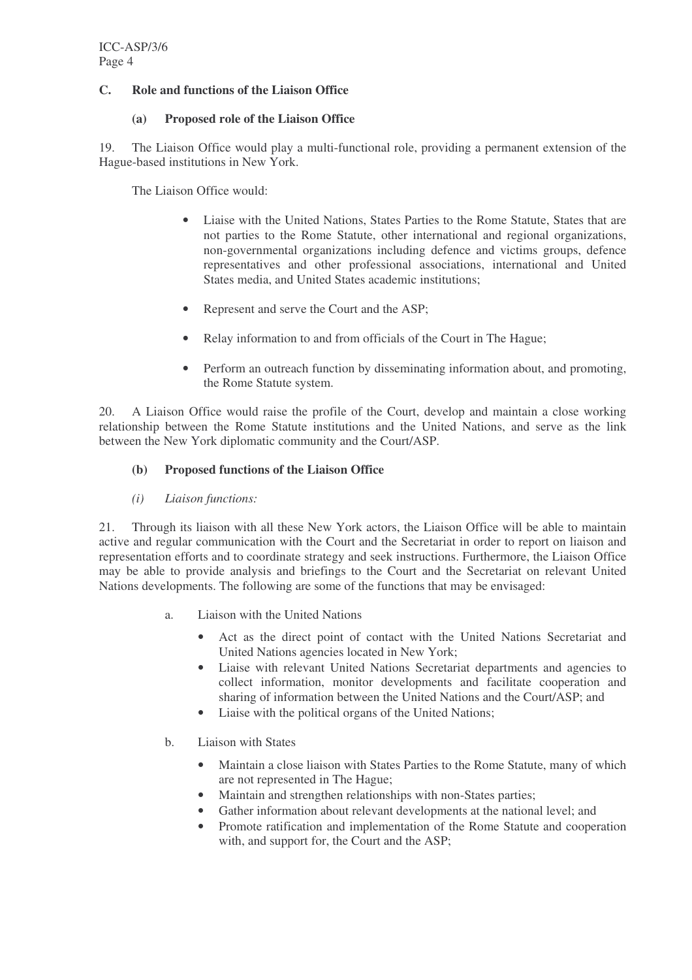# **C. Role and functions of the Liaison Office**

## **(a) Proposed role of the Liaison Office**

19. The Liaison Office would play a multi-functional role, providing a permanent extension of the Hague-based institutions in New York.

The Liaison Office would:

- Liaise with the United Nations, States Parties to the Rome Statute, States that are not parties to the Rome Statute, other international and regional organizations, non-governmental organizations including defence and victims groups, defence representatives and other professional associations, international and United States media, and United States academic institutions;
- Represent and serve the Court and the ASP;
- Relay information to and from officials of the Court in The Hague;
- Perform an outreach function by disseminating information about, and promoting, the Rome Statute system.

20. A Liaison Office would raise the profile of the Court, develop and maintain a close working relationship between the Rome Statute institutions and the United Nations, and serve as the link between the New York diplomatic community and the Court/ASP.

# **(b) Proposed functions of the Liaison Office**

*(i) Liaison functions:*

21. Through its liaison with all these New York actors, the Liaison Office will be able to maintain active and regular communication with the Court and the Secretariat in order to report on liaison and representation efforts and to coordinate strategy and seek instructions. Furthermore, the Liaison Office may be able to provide analysis and briefings to the Court and the Secretariat on relevant United Nations developments. The following are some of the functions that may be envisaged:

- a. Liaison with the United Nations
	- Act as the direct point of contact with the United Nations Secretariat and United Nations agencies located in New York;
	- Liaise with relevant United Nations Secretariat departments and agencies to collect information, monitor developments and facilitate cooperation and sharing of information between the United Nations and the Court/ASP; and
	- Liaise with the political organs of the United Nations;
- b. Liaison with States
	- Maintain a close liaison with States Parties to the Rome Statute, many of which are not represented in The Hague;
	- Maintain and strengthen relationships with non-States parties;
	- Gather information about relevant developments at the national level; and
	- Promote ratification and implementation of the Rome Statute and cooperation with, and support for, the Court and the ASP;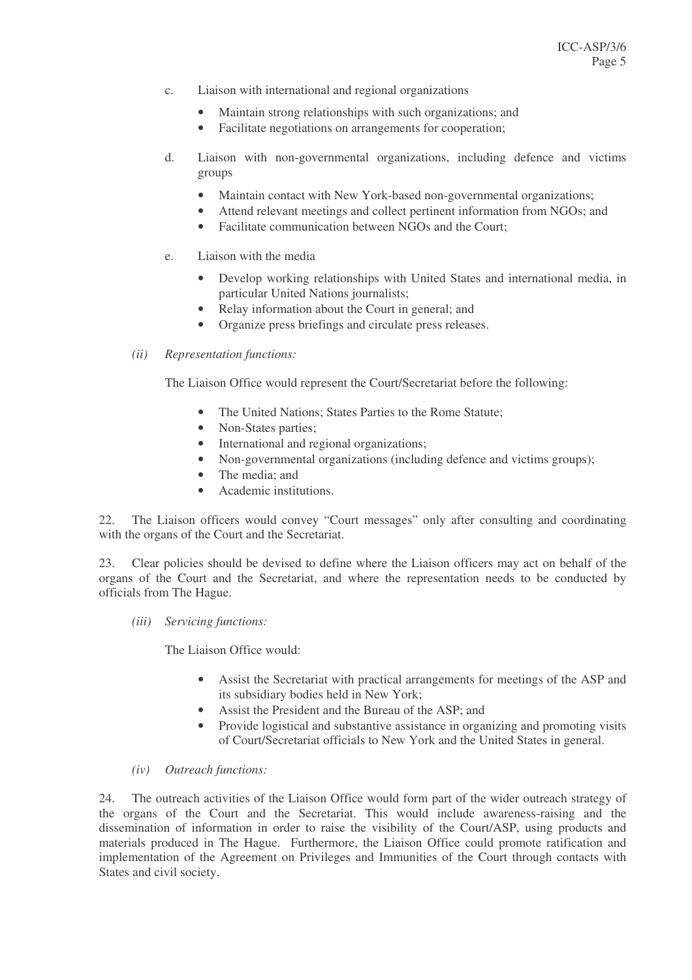- c. Liaison with international and regional organizations
	- Maintain strong relationships with such organizations; and
	- Facilitate negotiations on arrangements for cooperation;
- d. Liaison with non-governmental organizations, including defence and victims groups
	- Maintain contact with New York-based non-governmental organizations;
	- Attend relevant meetings and collect pertinent information from NGOs; and
	- Facilitate communication between NGOs and the Court:
- e. Liaison with the media
	- Develop working relationships with United States and international media, in particular United Nations journalists;
	- Relay information about the Court in general; and
	- Organize press briefings and circulate press releases.
- *(ii) Representation functions:*

The Liaison Office would represent the Court/Secretariat before the following:

- The United Nations: States Parties to the Rome Statute:
- Non-States parties:
- International and regional organizations;
- Non-governmental organizations (including defence and victims groups);
- The media; and
- Academic institutions.

22. The Liaison officers would convey "Court messages" only after consulting and coordinating with the organs of the Court and the Secretariat.

23. Clear policies should be devised to define where the Liaison officers may act on behalf of the organs of the Court and the Secretariat, and where the representation needs to be conducted by officials from The Hague.

*(iii) Servicing functions:*

The Liaison Office would:

- Assist the Secretariat with practical arrangements for meetings of the ASP and its subsidiary bodies held in New York;
- Assist the President and the Bureau of the ASP; and
- Provide logistical and substantive assistance in organizing and promoting visits of Court/Secretariat officials to New York and the United States in general.

### *(iv) Outreach functions:*

24. The outreach activities of the Liaison Office would form part of the wider outreach strategy of the organs of the Court and the Secretariat. This would include awareness-raising and the dissemination of information in order to raise the visibility of the Court/ASP, using products and materials produced in The Hague. Furthermore, the Liaison Office could promote ratification and implementation of the Agreement on Privileges and Immunities of the Court through contacts with States and civil society.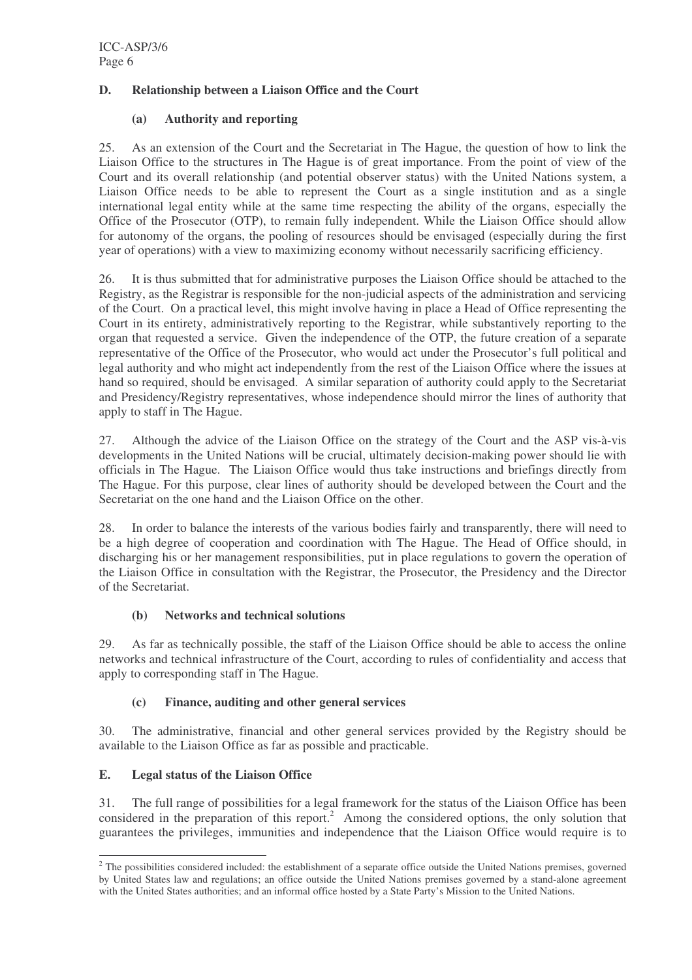# **D. Relationship between a Liaison Office and the Court**

# **(a) Authority and reporting**

25. As an extension of the Court and the Secretariat in The Hague, the question of how to link the Liaison Office to the structures in The Hague is of great importance. From the point of view of the Court and its overall relationship (and potential observer status) with the United Nations system, a Liaison Office needs to be able to represent the Court as a single institution and as a single international legal entity while at the same time respecting the ability of the organs, especially the Office of the Prosecutor (OTP), to remain fully independent. While the Liaison Office should allow for autonomy of the organs, the pooling of resources should be envisaged (especially during the first year of operations) with a view to maximizing economy without necessarily sacrificing efficiency.

26. It is thus submitted that for administrative purposes the Liaison Office should be attached to the Registry, as the Registrar is responsible for the non-judicial aspects of the administration and servicing of the Court. On a practical level, this might involve having in place a Head of Office representing the Court in its entirety, administratively reporting to the Registrar, while substantively reporting to the organ that requested a service. Given the independence of the OTP, the future creation of a separate representative of the Office of the Prosecutor, who would act under the Prosecutor's full political and legal authority and who might act independently from the rest of the Liaison Office where the issues at hand so required, should be envisaged. A similar separation of authority could apply to the Secretariat and Presidency/Registry representatives, whose independence should mirror the lines of authority that apply to staff in The Hague.

27. Although the advice of the Liaison Office on the strategy of the Court and the ASP vis-à-vis developments in the United Nations will be crucial, ultimately decision-making power should lie with officials in The Hague. The Liaison Office would thus take instructions and briefings directly from The Hague. For this purpose, clear lines of authority should be developed between the Court and the Secretariat on the one hand and the Liaison Office on the other.

28. In order to balance the interests of the various bodies fairly and transparently, there will need to be a high degree of cooperation and coordination with The Hague. The Head of Office should, in discharging his or her management responsibilities, put in place regulations to govern the operation of the Liaison Office in consultation with the Registrar, the Prosecutor, the Presidency and the Director of the Secretariat.

# **(b) Networks and technical solutions**

29. As far as technically possible, the staff of the Liaison Office should be able to access the online networks and technical infrastructure of the Court, according to rules of confidentiality and access that apply to corresponding staff in The Hague.

# **(c) Finance, auditing and other general services**

30. The administrative, financial and other general services provided by the Registry should be available to the Liaison Office as far as possible and practicable.

# **E. Legal status of the Liaison Office**

31. The full range of possibilities for a legal framework for the status of the Liaison Office has been considered in the preparation of this report. <sup>2</sup> Among the considered options, the only solution that guarantees the privileges, immunities and independence that the Liaison Office would require is to

<sup>&</sup>lt;sup>2</sup> The possibilities considered included: the establishment of a separate office outside the United Nations premises, governed by United States law and regulations; an office outside the United Nations premises governed by a stand-alone agreement with the United States authorities; and an informal office hosted by a State Party's Mission to the United Nations.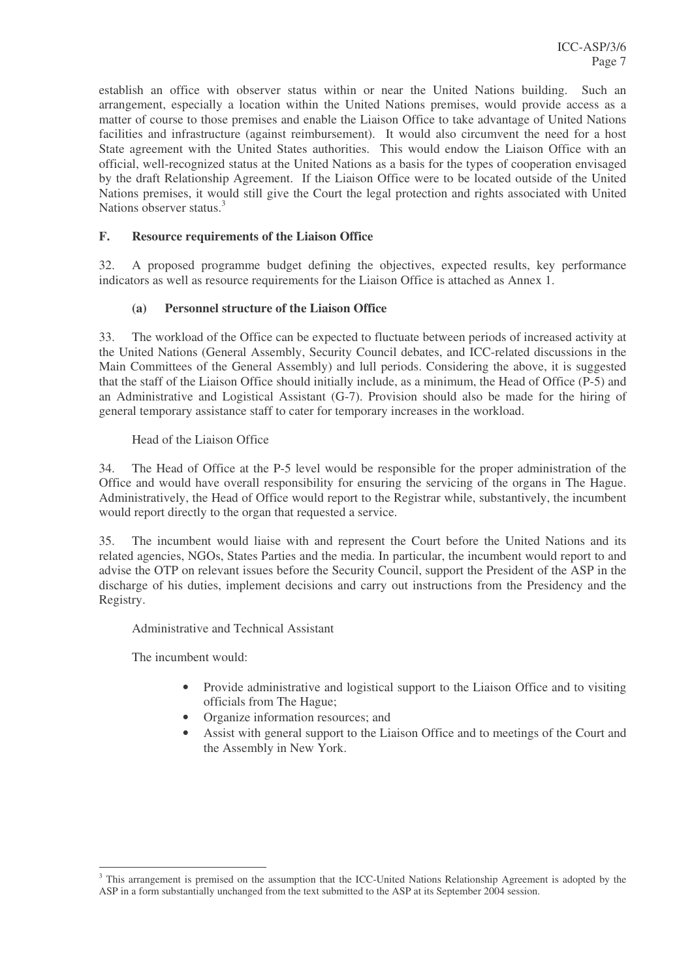establish an office with observer status within or near the United Nations building. Such an arrangement, especially a location within the United Nations premises, would provide access as a matter of course to those premises and enable the Liaison Office to take advantage of United Nations facilities and infrastructure (against reimbursement). It would also circumvent the need for a host State agreement with the United States authorities. This would endow the Liaison Office with an official, well-recognized status at the United Nations as a basis for the types of cooperation envisaged by the draft Relationship Agreement. If the Liaison Office were to be located outside of the United Nations premises, it would still give the Court the legal protection and rights associated with United Nations observer status.<sup>3</sup>

# **F. Resource requirements of the Liaison Office**

32. A proposed programme budget defining the objectives, expected results, key performance indicators as well as resource requirements for the Liaison Office is attached as Annex 1.

#### **(a) Personnel structure of the Liaison Office**

33. The workload of the Office can be expected to fluctuate between periods of increased activity at the United Nations (General Assembly, Security Council debates, and ICC-related discussions in the Main Committees of the General Assembly) and lull periods. Considering the above, it is suggested that the staff of the Liaison Office should initially include, as a minimum, the Head of Office (P-5) and an Administrative and Logistical Assistant (G-7). Provision should also be made for the hiring of general temporary assistance staff to cater for temporary increases in the workload.

Head of the Liaison Office

34. The Head of Office at the P-5 level would be responsible for the proper administration of the Office and would have overall responsibility for ensuring the servicing of the organs in The Hague. Administratively, the Head of Office would report to the Registrar while, substantively, the incumbent would report directly to the organ that requested a service.

35. The incumbent would liaise with and represent the Court before the United Nations and its related agencies, NGOs, States Parties and the media. In particular, the incumbent would report to and advise the OTP on relevant issues before the Security Council, support the President of the ASP in the discharge of his duties, implement decisions and carry out instructions from the Presidency and the Registry.

Administrative and Technical Assistant

The incumbent would:

- Provide administrative and logistical support to the Liaison Office and to visiting officials from The Hague;
- Organize information resources; and
- Assist with general support to the Liaison Office and to meetings of the Court and the Assembly in New York.

<sup>&</sup>lt;sup>3</sup> This arrangement is premised on the assumption that the ICC-United Nations Relationship Agreement is adopted by the ASP in a form substantially unchanged from the text submitted to the ASP at its September 2004 session.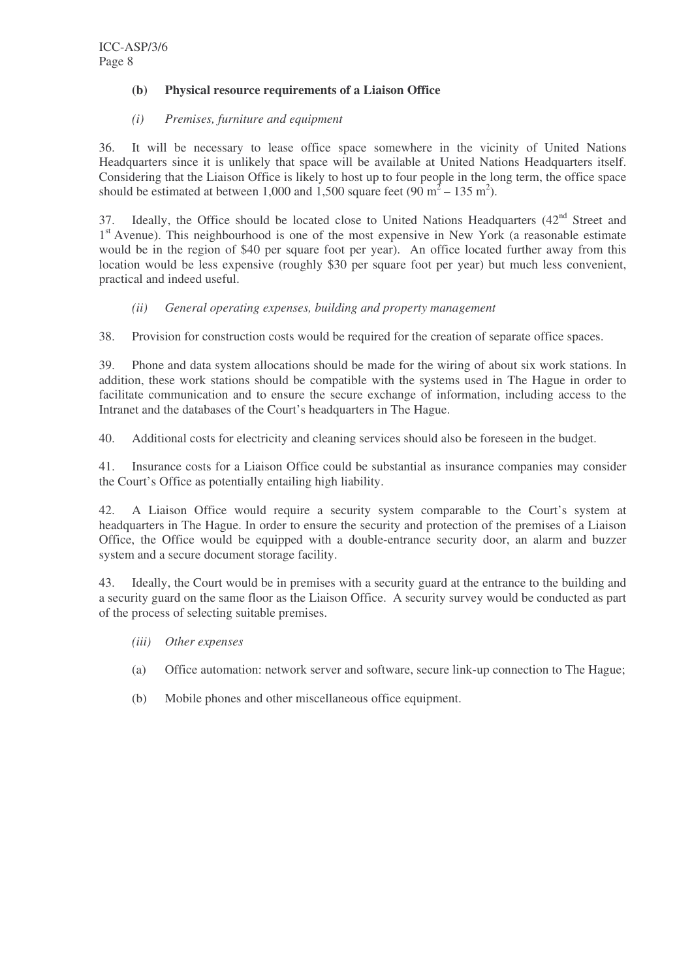# **(b) Physical resource requirements of a Liaison Office**

#### *(i) Premises, furniture and equipment*

36. It will be necessary to lease office space somewhere in the vicinity of United Nations Headquarters since it is unlikely that space will be available at United Nations Headquarters itself. Considering that the Liaison Office is likely to host up to four people in the long term, the office space should be estimated at between 1,000 and 1,500 square feet  $(90 \text{ m}^2 - 135 \text{ m}^2)$ .

37. Ideally, the Office should be located close to United Nations Headquarters  $(42<sup>nd</sup>$  Street and 1<sup>st</sup> Avenue). This neighbourhood is one of the most expensive in New York (a reasonable estimate would be in the region of \$40 per square foot per year). An office located further away from this location would be less expensive (roughly \$30 per square foot per year) but much less convenient, practical and indeed useful.

# *(ii) General operating expenses, building and property management*

38. Provision for construction costs would be required for the creation of separate office spaces.

39. Phone and data system allocations should be made for the wiring of about six work stations. In addition, these work stations should be compatible with the systems used in The Hague in order to facilitate communication and to ensure the secure exchange of information, including access to the Intranet and the databases of the Court's headquarters in The Hague.

40. Additional costs for electricity and cleaning services should also be foreseen in the budget.

41. Insurance costs for a Liaison Office could be substantial as insurance companies may consider the Court's Office as potentially entailing high liability.

42. A Liaison Office would require a security system comparable to the Court's system at headquarters in The Hague. In order to ensure the security and protection of the premises of a Liaison Office, the Office would be equipped with a double-entrance security door, an alarm and buzzer system and a secure document storage facility.

43. Ideally, the Court would be in premises with a security guard at the entrance to the building and a security guard on the same floor as the Liaison Office. A security survey would be conducted as part of the process of selecting suitable premises.

- *(iii) Other expenses*
- (a) Office automation: network server and software, secure link-up connection to The Hague;
- (b) Mobile phones and other miscellaneous office equipment.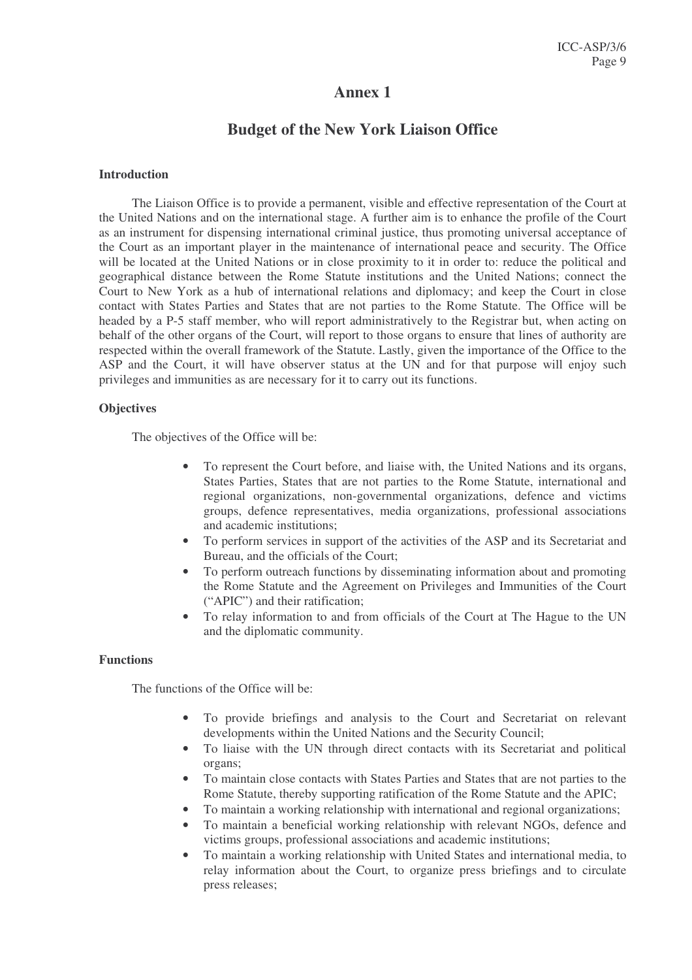# **Annex 1**

# **Budget of the New York Liaison Office**

#### **Introduction**

The Liaison Office is to provide a permanent, visible and effective representation of the Court at the United Nations and on the international stage. A further aim is to enhance the profile of the Court as an instrument for dispensing international criminal justice, thus promoting universal acceptance of the Court as an important player in the maintenance of international peace and security. The Office will be located at the United Nations or in close proximity to it in order to: reduce the political and geographical distance between the Rome Statute institutions and the United Nations; connect the Court to New York as a hub of international relations and diplomacy; and keep the Court in close contact with States Parties and States that are not parties to the Rome Statute. The Office will be headed by a P-5 staff member, who will report administratively to the Registrar but, when acting on behalf of the other organs of the Court, will report to those organs to ensure that lines of authority are respected within the overall framework of the Statute. Lastly, given the importance of the Office to the ASP and the Court, it will have observer status at the UN and for that purpose will enjoy such privileges and immunities as are necessary for it to carry out its functions.

#### **Objectives**

The objectives of the Office will be:

- To represent the Court before, and liaise with, the United Nations and its organs, States Parties, States that are not parties to the Rome Statute, international and regional organizations, non-governmental organizations, defence and victims groups, defence representatives, media organizations, professional associations and academic institutions;
- To perform services in support of the activities of the ASP and its Secretariat and Bureau, and the officials of the Court;
- To perform outreach functions by disseminating information about and promoting the Rome Statute and the Agreement on Privileges and Immunities of the Court ("APIC") and their ratification;
- To relay information to and from officials of the Court at The Hague to the UN and the diplomatic community.

#### **Functions**

The functions of the Office will be:

- To provide briefings and analysis to the Court and Secretariat on relevant developments within the United Nations and the Security Council;
- To liaise with the UN through direct contacts with its Secretariat and political organs;
- To maintain close contacts with States Parties and States that are not parties to the Rome Statute, thereby supporting ratification of the Rome Statute and the APIC;
- To maintain a working relationship with international and regional organizations;
- To maintain a beneficial working relationship with relevant NGOs, defence and victims groups, professional associations and academic institutions;
- To maintain a working relationship with United States and international media, to relay information about the Court, to organize press briefings and to circulate press releases;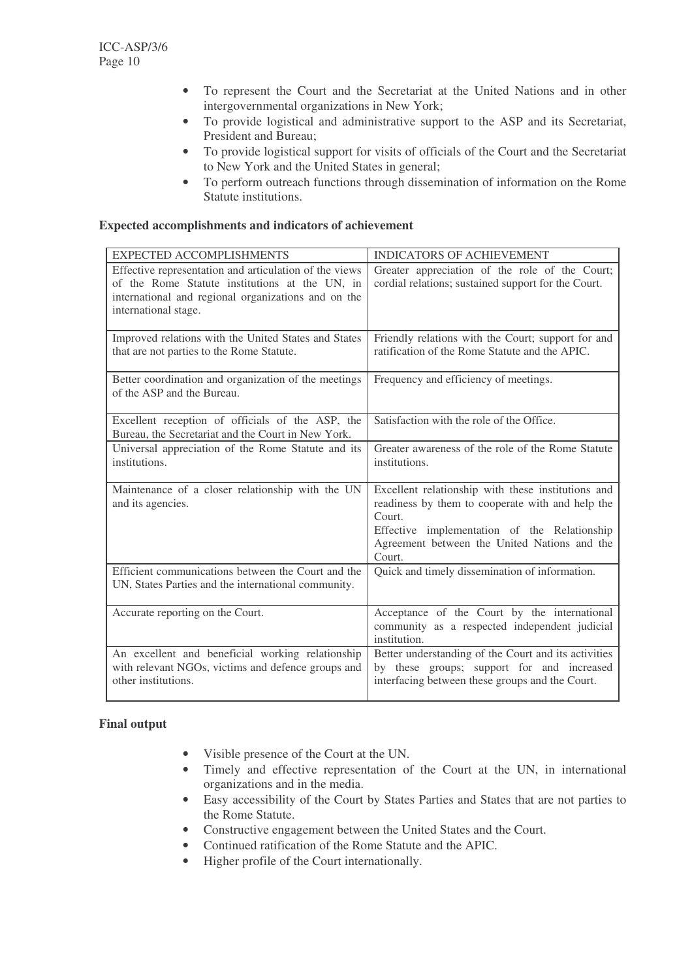- To represent the Court and the Secretariat at the United Nations and in other intergovernmental organizations in New York;
- To provide logistical and administrative support to the ASP and its Secretariat, President and Bureau;
- To provide logistical support for visits of officials of the Court and the Secretariat to New York and the United States in general;
- To perform outreach functions through dissemination of information on the Rome Statute institutions.

## **Expected accomplishments and indicators of achievement**

| <b>EXPECTED ACCOMPLISHMENTS</b>                                                                                                                                                         | <b>INDICATORS OF ACHIEVEMENT</b>                                                                                                                                                                                           |
|-----------------------------------------------------------------------------------------------------------------------------------------------------------------------------------------|----------------------------------------------------------------------------------------------------------------------------------------------------------------------------------------------------------------------------|
| Effective representation and articulation of the views<br>of the Rome Statute institutions at the UN, in<br>international and regional organizations and on the<br>international stage. | Greater appreciation of the role of the Court;<br>cordial relations; sustained support for the Court.                                                                                                                      |
| Improved relations with the United States and States<br>that are not parties to the Rome Statute.                                                                                       | Friendly relations with the Court; support for and<br>ratification of the Rome Statute and the APIC.                                                                                                                       |
| Better coordination and organization of the meetings<br>of the ASP and the Bureau.                                                                                                      | Frequency and efficiency of meetings.                                                                                                                                                                                      |
| Excellent reception of officials of the ASP, the<br>Bureau, the Secretariat and the Court in New York.                                                                                  | Satisfaction with the role of the Office.                                                                                                                                                                                  |
| Universal appreciation of the Rome Statute and its<br>institutions.                                                                                                                     | Greater awareness of the role of the Rome Statute<br>institutions.                                                                                                                                                         |
| Maintenance of a closer relationship with the UN<br>and its agencies.                                                                                                                   | Excellent relationship with these institutions and<br>readiness by them to cooperate with and help the<br>Court.<br>Effective implementation of the Relationship<br>Agreement between the United Nations and the<br>Court. |
| Efficient communications between the Court and the<br>UN, States Parties and the international community.                                                                               | Quick and timely dissemination of information.                                                                                                                                                                             |
| Accurate reporting on the Court.                                                                                                                                                        | Acceptance of the Court by the international<br>community as a respected independent judicial<br>institution.                                                                                                              |
| An excellent and beneficial working relationship<br>with relevant NGOs, victims and defence groups and<br>other institutions.                                                           | Better understanding of the Court and its activities<br>by these groups; support for and increased<br>interfacing between these groups and the Court.                                                                      |

# **Final output**

- Visible presence of the Court at the UN.
- Timely and effective representation of the Court at the UN, in international organizations and in the media.
- Easy accessibility of the Court by States Parties and States that are not parties to the Rome Statute.
- Constructive engagement between the United States and the Court.
- Continued ratification of the Rome Statute and the APIC.
- Higher profile of the Court internationally.